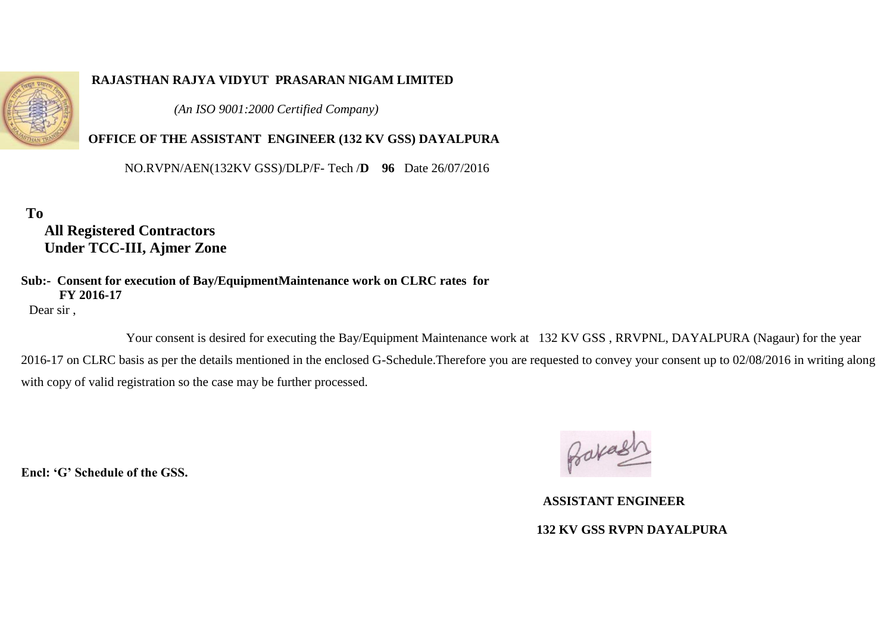

#### **RAJASTHAN RAJYA VIDYUT PRASARAN NIGAM LIMITED**

 *(An ISO 9001:2000 Certified Company)*

### **OFFICE OF THE ASSISTANT ENGINEER (132 KV GSS) DAYALPURA**

NO.RVPN/AEN(132KV GSS)/DLP/F- Tech /**D 96** Date 26/07/2016

**To** 

 **All Registered Contractors Under TCC-III, Ajmer Zone**

#### **Sub:- Consent for execution of Bay/EquipmentMaintenance work on CLRC rates for FY 2016-17**

Dear sir ,

 Your consent is desired for executing the Bay/Equipment Maintenance work at 132 KV GSS , RRVPNL, DAYALPURA (Nagaur) for the year 2016-17 on CLRC basis as per the details mentioned in the enclosed G-Schedule.Therefore you are requested to convey your consent up to 02/08/2016 in writing along with copy of valid registration so the case may be further processed.

**Encl: 'G' Schedule of the GSS.** 

 **ASSISTANT ENGINEER 132 KV GSS RVPN DAYALPURA**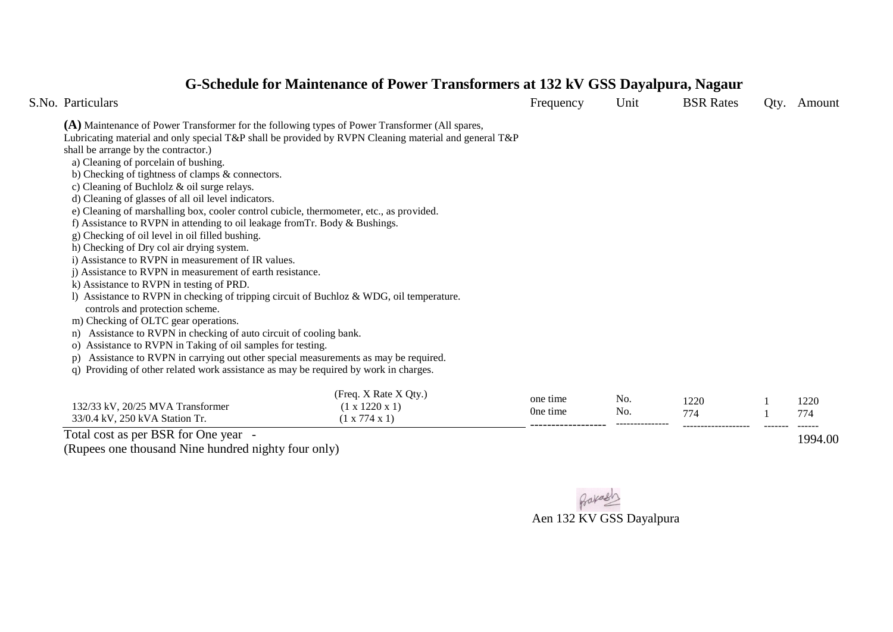# **G-Schedule for Maintenance of Power Transformers at 132 kV GSS Dayalpura, Nagaur**

| S.No. Particulars                                                                                                              |                            | Frequency | Unit       | <b>BSR</b> Rates | Qty. | Amount |  |  |
|--------------------------------------------------------------------------------------------------------------------------------|----------------------------|-----------|------------|------------------|------|--------|--|--|
| (A) Maintenance of Power Transformer for the following types of Power Transformer (All spares,                                 |                            |           |            |                  |      |        |  |  |
| Lubricating material and only special T&P shall be provided by RVPN Cleaning material and general T&P                          |                            |           |            |                  |      |        |  |  |
| shall be arrange by the contractor.)                                                                                           |                            |           |            |                  |      |        |  |  |
| a) Cleaning of porcelain of bushing.                                                                                           |                            |           |            |                  |      |        |  |  |
| b) Checking of tightness of clamps & connectors.                                                                               |                            |           |            |                  |      |        |  |  |
| c) Cleaning of Buchlolz $&$ oil surge relays.                                                                                  |                            |           |            |                  |      |        |  |  |
| d) Cleaning of glasses of all oil level indicators.                                                                            |                            |           |            |                  |      |        |  |  |
| e) Cleaning of marshalling box, cooler control cubicle, thermometer, etc., as provided.                                        |                            |           |            |                  |      |        |  |  |
| f) Assistance to RVPN in attending to oil leakage from Tr. Body $\&$ Bushings.                                                 |                            |           |            |                  |      |        |  |  |
| g) Checking of oil level in oil filled bushing.                                                                                |                            |           |            |                  |      |        |  |  |
| h) Checking of Dry col air drying system.                                                                                      |                            |           |            |                  |      |        |  |  |
| i) Assistance to RVPN in measurement of IR values.                                                                             |                            |           |            |                  |      |        |  |  |
| i) Assistance to RVPN in measurement of earth resistance.                                                                      |                            |           |            |                  |      |        |  |  |
| k) Assistance to RVPN in testing of PRD.                                                                                       |                            |           |            |                  |      |        |  |  |
| 1) Assistance to RVPN in checking of tripping circuit of Buchloz $\&$ WDG, oil temperature.<br>controls and protection scheme. |                            |           |            |                  |      |        |  |  |
| m) Checking of OLTC gear operations.                                                                                           |                            |           |            |                  |      |        |  |  |
| Assistance to RVPN in checking of auto circuit of cooling bank.                                                                |                            |           |            |                  |      |        |  |  |
| Assistance to RVPN in Taking of oil samples for testing.<br>O)                                                                 |                            |           |            |                  |      |        |  |  |
| Assistance to RVPN in carrying out other special measurements as may be required.<br>p)                                        |                            |           |            |                  |      |        |  |  |
| Providing of other related work assistance as may be required by work in charges.<br>q)                                        |                            |           |            |                  |      |        |  |  |
|                                                                                                                                |                            |           |            |                  |      |        |  |  |
|                                                                                                                                | (Freq. X Rate X Qty.)      |           |            |                  |      |        |  |  |
| 132/33 kV, 20/25 MVA Transformer                                                                                               | $(1 \times 1220 \times 1)$ | one time  | No.<br>No. | 1220             |      | 1220   |  |  |
| 33/0.4 kV, 250 kVA Station Tr.                                                                                                 | (1 x 774 x 1)              | One time  |            | 774              |      | 774    |  |  |

Total cost as per BSR for One year -

(Rupees one thousand Nine hundred nighty four only)



---------------

-------------------

------------------

1994.00

------

-------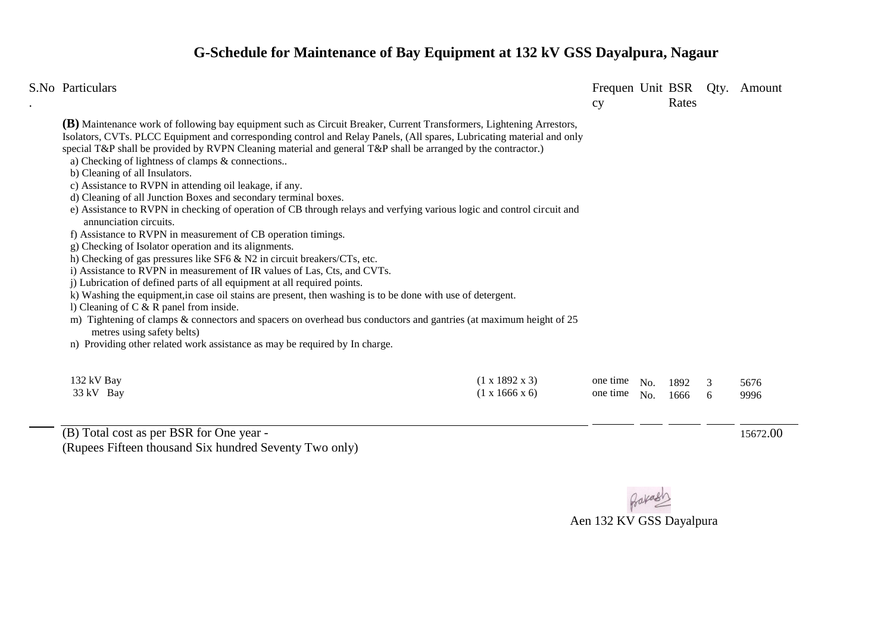## **G-Schedule for Maintenance of Bay Equipment at 132 kV GSS Dayalpura, Nagaur**

| S.No Particulars                                                                                                                                                                                                                                                                                                                                                                                                                                                                                                                                                                                                                                                                                                                                                                      |                                                          | cy                   |            | Rates        | Frequen Unit BSR Qty. Amount |
|---------------------------------------------------------------------------------------------------------------------------------------------------------------------------------------------------------------------------------------------------------------------------------------------------------------------------------------------------------------------------------------------------------------------------------------------------------------------------------------------------------------------------------------------------------------------------------------------------------------------------------------------------------------------------------------------------------------------------------------------------------------------------------------|----------------------------------------------------------|----------------------|------------|--------------|------------------------------|
| <b>(B)</b> Maintenance work of following bay equipment such as Circuit Breaker, Current Transformers, Lightening Arrestors,<br>Isolators, CVTs. PLCC Equipment and corresponding control and Relay Panels, (All spares, Lubricating material and only<br>special T&P shall be provided by RVPN Cleaning material and general T&P shall be arranged by the contractor.)<br>a) Checking of lightness of clamps & connections<br>b) Cleaning of all Insulators.<br>c) Assistance to RVPN in attending oil leakage, if any.<br>d) Cleaning of all Junction Boxes and secondary terminal boxes.<br>e) Assistance to RVPN in checking of operation of CB through relays and verfying various logic and control circuit and                                                                  |                                                          |                      |            |              |                              |
| annunciation circuits.<br>f) Assistance to RVPN in measurement of CB operation timings.<br>g) Checking of Isolator operation and its alignments.<br>h) Checking of gas pressures like SF6 $\&$ N2 in circuit breakers/CTs, etc.<br>i) Assistance to RVPN in measurement of IR values of Las, Cts, and CVTs.<br>j) Lubrication of defined parts of all equipment at all required points.<br>k) Washing the equipment, in case oil stains are present, then washing is to be done with use of detergent.<br>1) Cleaning of $C & R$ panel from inside.<br>m) Tightening of clamps & connectors and spacers on overhead bus conductors and gantries (at maximum height of 25<br>metres using safety belts)<br>n) Providing other related work assistance as may be required by In charge. |                                                          |                      |            |              |                              |
| 132 kV Bay<br>33 kV Bay                                                                                                                                                                                                                                                                                                                                                                                                                                                                                                                                                                                                                                                                                                                                                               | $(1 \times 1892 \times 3)$<br>$(1 \times 1666 \times 6)$ | one time<br>one time | No.<br>No. | 1892<br>1666 | 5676<br>9996                 |

(B) Total cost as per BSR for One year - (Rupees Fifteen thousand Six hundred Seventy Two only)

15672.00

 $\overline{a}$ 

Bakasi Aen 132 KV GSS Dayalpura

l

l

l

 $\overline{a}$